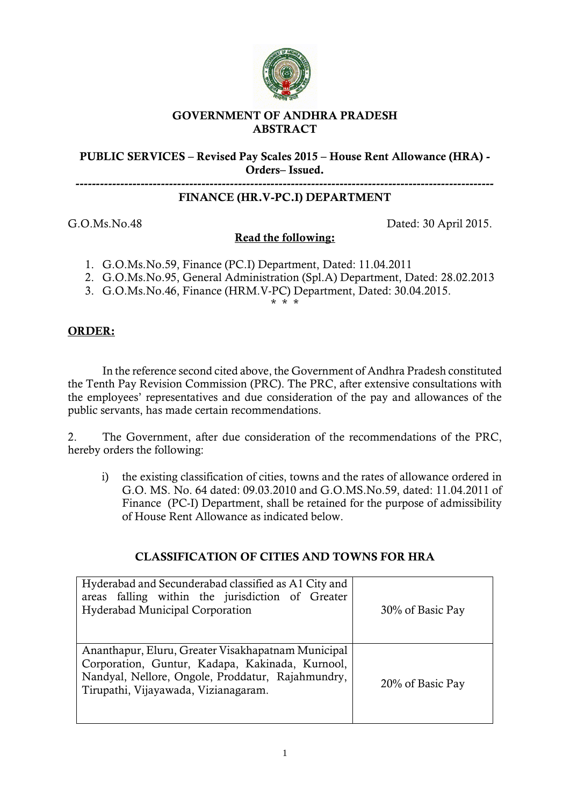

## **GOVERNMENT OF ANDHRA PRADESH ABSTRACT**

## **PUBLIC SERVICES – Revised Pay Scales 2015 – House Rent Allowance (HRA) - Orders– Issued.**

# **FINANCE (HR.V-PC.I) DEPARTMENT**

G.O.Ms.No.48 Dated: 30 April 2015.

**-------------------------------------------------------------------------------------------------------**

## **Read the following:**

- 1. G.O.Ms.No.59, Finance (PC.I) Department, Dated: 11.04.2011
- 2. G.O.Ms.No.95, General Administration (Spl.A) Department, Dated: 28.02.2013
- 3. G.O.Ms.No.46, Finance (HRM.V-PC) Department, Dated: 30.04.2015.

\* \* \*

## **ORDER:**

In the reference second cited above, the Government of Andhra Pradesh constituted the Tenth Pay Revision Commission (PRC). The PRC, after extensive consultations with the employees' representatives and due consideration of the pay and allowances of the public servants, has made certain recommendations.

2. The Government, after due consideration of the recommendations of the PRC, hereby orders the following:

i) the existing classification of cities, towns and the rates of allowance ordered in G.O. MS. No. 64 dated: 09.03.2010 and G.O.MS.No.59, dated: 11.04.2011 of Finance (PC-I) Department, shall be retained for the purpose of admissibility of House Rent Allowance as indicated below.

## **CLASSIFICATION OF CITIES AND TOWNS FOR HRA**

| Hyderabad and Secunderabad classified as A1 City and<br>areas falling within the jurisdiction of Greater<br>Hyderabad Municipal Corporation                                                        | 30% of Basic Pay |
|----------------------------------------------------------------------------------------------------------------------------------------------------------------------------------------------------|------------------|
| Ananthapur, Eluru, Greater Visakhapatnam Municipal<br>Corporation, Guntur, Kadapa, Kakinada, Kurnool,<br>Nandyal, Nellore, Ongole, Proddatur, Rajahmundry,<br>Tirupathi, Vijayawada, Vizianagaram. | 20% of Basic Pay |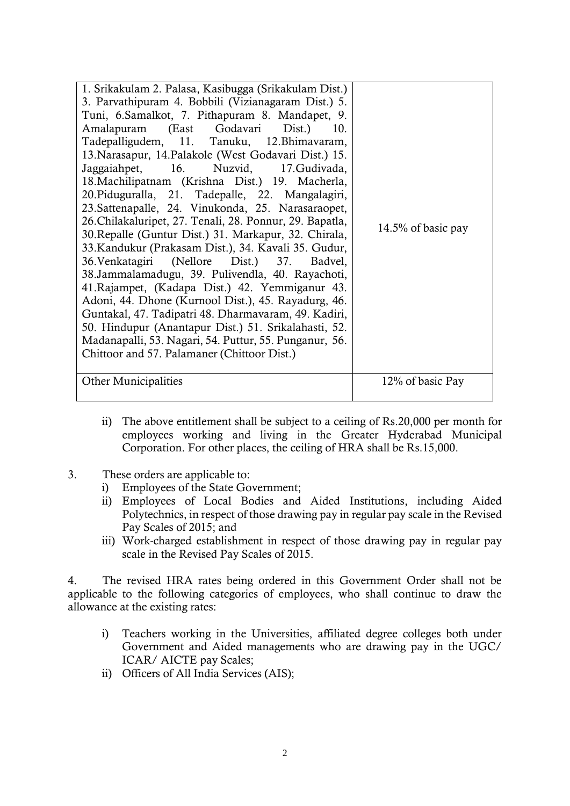| 1. Srikakulam 2. Palasa, Kasibugga (Srikakulam Dist.)<br>3. Parvathipuram 4. Bobbili (Vizianagaram Dist.) 5.<br>Tuni, 6. Samalkot, 7. Pithapuram 8. Mandapet, 9.<br>Amalapuram (East Godavari Dist.) 10.<br>Tadepalligudem, 11. Tanuku, 12. Bhimavaram,<br>13. Narasapur, 14. Palakole (West Godavari Dist.) 15.<br>Jaggaiahpet, 16. Nuzvid, 17. Gudivada,<br>18. Machilipatnam (Krishna Dist.) 19. Macherla,<br>20. Piduguralla, 21. Tadepalle, 22. Mangalagiri,<br>23. Sattenapalle, 24. Vinukonda, 25. Narasaraopet,<br>26. Chilakaluripet, 27. Tenali, 28. Ponnur, 29. Bapatla,<br>30. Repalle (Guntur Dist.) 31. Markapur, 32. Chirala,<br>33. Kandukur (Prakasam Dist.), 34. Kavali 35. Gudur,<br>36. Venkatagiri (Nellore Dist.) 37. Badvel,<br>38. Jammalamadugu, 39. Pulivendla, 40. Rayachoti,<br>41. Rajampet, (Kadapa Dist.) 42. Yemmiganur 43.<br>Adoni, 44. Dhone (Kurnool Dist.), 45. Rayadurg, 46.<br>Guntakal, 47. Tadipatri 48. Dharmavaram, 49. Kadiri,<br>50. Hindupur (Anantapur Dist.) 51. Srikalahasti, 52.<br>Madanapalli, 53. Nagari, 54. Puttur, 55. Punganur, 56.<br>Chittoor and 57. Palamaner (Chittoor Dist.) | 14.5% of basic pay |
|---------------------------------------------------------------------------------------------------------------------------------------------------------------------------------------------------------------------------------------------------------------------------------------------------------------------------------------------------------------------------------------------------------------------------------------------------------------------------------------------------------------------------------------------------------------------------------------------------------------------------------------------------------------------------------------------------------------------------------------------------------------------------------------------------------------------------------------------------------------------------------------------------------------------------------------------------------------------------------------------------------------------------------------------------------------------------------------------------------------------------------------------|--------------------|
| <b>Other Municipalities</b>                                                                                                                                                                                                                                                                                                                                                                                                                                                                                                                                                                                                                                                                                                                                                                                                                                                                                                                                                                                                                                                                                                                 | 12% of basic Pay   |

- ii) The above entitlement shall be subject to a ceiling of Rs.20,000 per month for employees working and living in the Greater Hyderabad Municipal Corporation. For other places, the ceiling of HRA shall be Rs.15,000.
- 3. These orders are applicable to:
	- i) Employees of the State Government;
	- ii) Employees of Local Bodies and Aided Institutions, including Aided Polytechnics, in respect of those drawing pay in regular pay scale in the Revised Pay Scales of 2015; and
	- iii) Work-charged establishment in respect of those drawing pay in regular pay scale in the Revised Pay Scales of 2015.

4. The revised HRA rates being ordered in this Government Order shall not be applicable to the following categories of employees, who shall continue to draw the allowance at the existing rates:

- i) Teachers working in the Universities, affiliated degree colleges both under Government and Aided managements who are drawing pay in the UGC/ ICAR/ AICTE pay Scales;
- ii) Officers of All India Services (AIS);